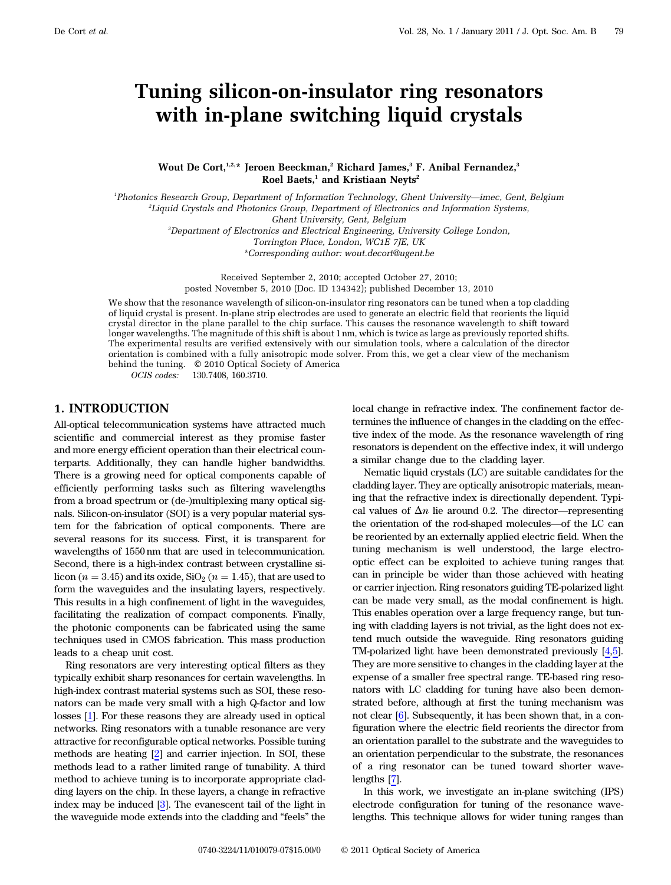# Tuning silicon-on-insulator ring resonators with in-plane switching liquid crystals

Wout De Cort,<sup>1,2,\*</sup> Jeroen Beeckman,<sup>2</sup> Richard James,<sup>3</sup> F. Anibal Fernandez,<sup>3</sup> Roel Baets,<sup>1</sup> and Kristiaan Neyts<sup>2</sup>

1 Photonics Research Group, Department of Information Technology, Ghent University*—*imec, Gent, Belgium 2 Liquid Crystals and Photonics Group, Department of Electronics and Information Systems, Ghent University, Gent, Belgium 3 Department of Electronics and Electrical Engineering, University College London, Torrington Place, London, WC1E 7JE, UK

\*Corresponding author: wout.decort@ugent.be

Received September 2, 2010; accepted October 27, 2010; posted November 5, 2010 (Doc. ID 134342); published December 13, 2010

We show that the resonance wavelength of silicon-on-insulator ring resonators can be tuned when a top cladding of liquid crystal is present. In-plane strip electrodes are used to generate an electric field that reorients the liquid crystal director in the plane parallel to the chip surface. This causes the resonance wavelength to shift toward longer wavelengths. The magnitude of this shift is about 1 nm, which is twice as large as previously reported shifts. The experimental results are verified extensively with our simulation tools, where a calculation of the director orientation is combined with a fully anisotropic mode solver. From this, we get a clear view of the mechanism behind the tuning. © 2010 Optical Society of America

OCIS codes: 130.7408, 160.3710.

## 1. INTRODUCTION

All-optical telecommunication systems have attracted much scientific and commercial interest as they promise faster and more energy efficient operation than their electrical counterparts. Additionally, they can handle higher bandwidths. There is a growing need for optical components capable of efficiently performing tasks such as filtering wavelengths from a broad spectrum or (de-)multiplexing many optical signals. Silicon-on-insulator (SOI) is a very popular material system for the fabrication of optical components. There are several reasons for its success. First, it is transparent for wavelengths of 1550 nm that are used in telecommunication. Second, there is a high-index contrast between crystalline silicon ( $n = 3.45$ ) and its oxide, SiO<sub>2</sub> ( $n = 1.45$ ), that are used to form the waveguides and the insulating layers, respectively. This results in a high confinement of light in the waveguides, facilitating the realization of compact components. Finally, the photonic components can be fabricated using the same techniques used in CMOS fabrication. This mass production leads to a cheap unit cost.

Ring resonators are very interesting optical filters as they typically exhibit sharp resonances for certain wavelengths. In high-index contrast material systems such as SOI, these resonators can be made very small with a high Q-factor and low losses [1]. For these reasons they are already used in optical networks. Ring resonators with a tunable resonance are very attractive for reconfigurable optical networks. Possible tuning methods are heating [2] and carrier injection. In SOI, these methods lead to a rather limited range of tunability. A third method to achieve tuning is to incorporate appropriate cladding layers on the chip. In these layers, a change in refractive index may be induced [3]. The evanescent tail of the light in the waveguide mode extends into the cladding and "feels" the local change in refractive index. The confinement factor determines the influence of changes in the cladding on the effective index of the mode. As the resonance wavelength of ring resonators is dependent on the effective index, it will undergo a similar change due to the cladding layer.

Nematic liquid crystals (LC) are suitable candidates for the cladding layer. They are optically anisotropic materials, meaning that the refractive index is directionally dependent. Typical values of  $\Delta n$  lie around 0.2. The director—representing the orientation of the rod-shaped molecules—of the LC can be reoriented by an externally applied electric field. When the tuning mechanism is well understood, the large electrooptic effect can be exploited to achieve tuning ranges that can in principle be wider than those achieved with heating or carrier injection. Ring resonators guiding TE-polarized light can be made very small, as the modal confinement is high. This enables operation over a large frequency range, but tuning with cladding layers is not trivial, as the light does not extend much outside the waveguide. Ring resonators guiding TM-polarized light have been demonstrated previously [4,5]. They are more sensitive to changes in the cladding layer at the expense of a smaller free spectral range. TE-based ring resonators with LC cladding for tuning have also been demonstrated before, although at first the tuning mechanism was not clear [6]. Subsequently, it has been shown that, in a configuration where the electric field reorients the director from an orientation parallel to the substrate and the waveguides to an orientation perpendicular to the substrate, the resonances of a ring resonator can be tuned toward shorter wavelengths [7].

In this work, we investigate an in-plane switching (IPS) electrode configuration for tuning of the resonance wavelengths. This technique allows for wider tuning ranges than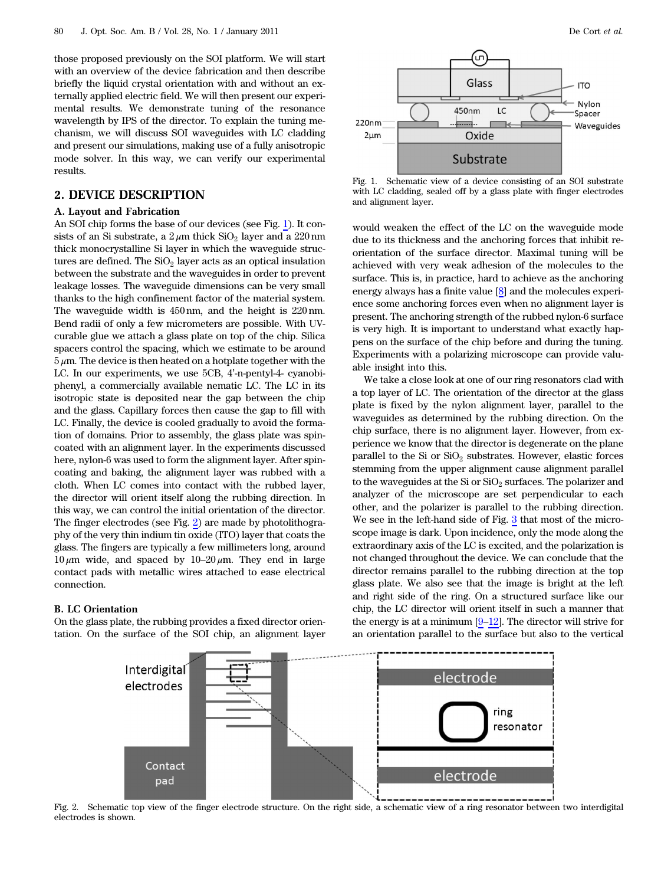those proposed previously on the SOI platform. We will start with an overview of the device fabrication and then describe briefly the liquid crystal orientation with and without an externally applied electric field. We will then present our experimental results. We demonstrate tuning of the resonance wavelength by IPS of the director. To explain the tuning mechanism, we will discuss SOI waveguides with LC cladding and present our simulations, making use of a fully anisotropic mode solver. In this way, we can verify our experimental results.

## 2. DEVICE DESCRIPTION

#### A. Layout and Fabrication

An SOI chip forms the base of our devices (see Fig. [1\)](#page-1-0). It consists of an Si substrate, a  $2 \mu m$  thick  $SiO<sub>2</sub>$  layer and a 220 nm thick monocrystalline Si layer in which the waveguide structures are defined. The  $SiO<sub>2</sub>$  layer acts as an optical insulation between the substrate and the waveguides in order to prevent leakage losses. The waveguide dimensions can be very small thanks to the high confinement factor of the material system. The waveguide width is 450 nm, and the height is 220 nm. Bend radii of only a few micrometers are possible. With UVcurable glue we attach a glass plate on top of the chip. Silica spacers control the spacing, which we estimate to be around  $5 \mu$ m. The device is then heated on a hotplate together with the LC. In our experiments, we use 5CB, 4'-n-pentyl-4- cyanobiphenyl, a commercially available nematic LC. The LC in its isotropic state is deposited near the gap between the chip and the glass. Capillary forces then cause the gap to fill with LC. Finally, the device is cooled gradually to avoid the formation of domains. Prior to assembly, the glass plate was spincoated with an alignment layer. In the experiments discussed here, nylon-6 was used to form the alignment layer. After spincoating and baking, the alignment layer was rubbed with a cloth. When LC comes into contact with the rubbed layer, the director will orient itself along the rubbing direction. In this way, we can control the initial orientation of the director. The finger electrodes (see Fig. [2](#page-1-1)) are made by photolithography of the very thin indium tin oxide (ITO) layer that coats the glass. The fingers are typically a few millimeters long, around  $10 \mu m$  wide, and spaced by  $10-20 \mu m$ . They end in large contact pads with metallic wires attached to ease electrical connection.

#### B. LC Orientation

<span id="page-1-1"></span>On the glass plate, the rubbing provides a fixed director orientation. On the surface of the SOI chip, an alignment layer

<span id="page-1-0"></span>

Fig. 1. Schematic view of a device consisting of an SOI substrate with LC cladding, sealed off by a glass plate with finger electrodes and alignment layer.

would weaken the effect of the LC on the waveguide mode due to its thickness and the anchoring forces that inhibit reorientation of the surface director. Maximal tuning will be achieved with very weak adhesion of the molecules to the surface. This is, in practice, hard to achieve as the anchoring energy always has a finite value [8] and the molecules experience some anchoring forces even when no alignment layer is present. The anchoring strength of the rubbed nylon-6 surface is very high. It is important to understand what exactly happens on the surface of the chip before and during the tuning. Experiments with a polarizing microscope can provide valuable insight into this.

We take a close look at one of our ring resonators clad with a top layer of LC. The orientation of the director at the glass plate is fixed by the nylon alignment layer, parallel to the waveguides as determined by the rubbing direction. On the chip surface, there is no alignment layer. However, from experience we know that the director is degenerate on the plane parallel to the Si or  $SiO<sub>2</sub>$  substrates. However, elastic forces stemming from the upper alignment cause alignment parallel to the waveguides at the Si or  $SiO<sub>2</sub>$  surfaces. The polarizer and analyzer of the microscope are set perpendicular to each other, and the polarizer is parallel to the rubbing direction. We see in the left-hand side of Fig. [3](#page-2-0) that most of the microscope image is dark. Upon incidence, only the mode along the extraordinary axis of the LC is excited, and the polarization is not changed throughout the device. We can conclude that the director remains parallel to the rubbing direction at the top glass plate. We also see that the image is bright at the left and right side of the ring. On a structured surface like our chip, the LC director will orient itself in such a manner that the energy is at a minimum  $[9-12]$ . The director will strive for an orientation parallel to the surface but also to the vertical



Fig. 2. Schematic top view of the finger electrode structure. On the right side, a schematic view of a ring resonator between two interdigital electrodes is shown.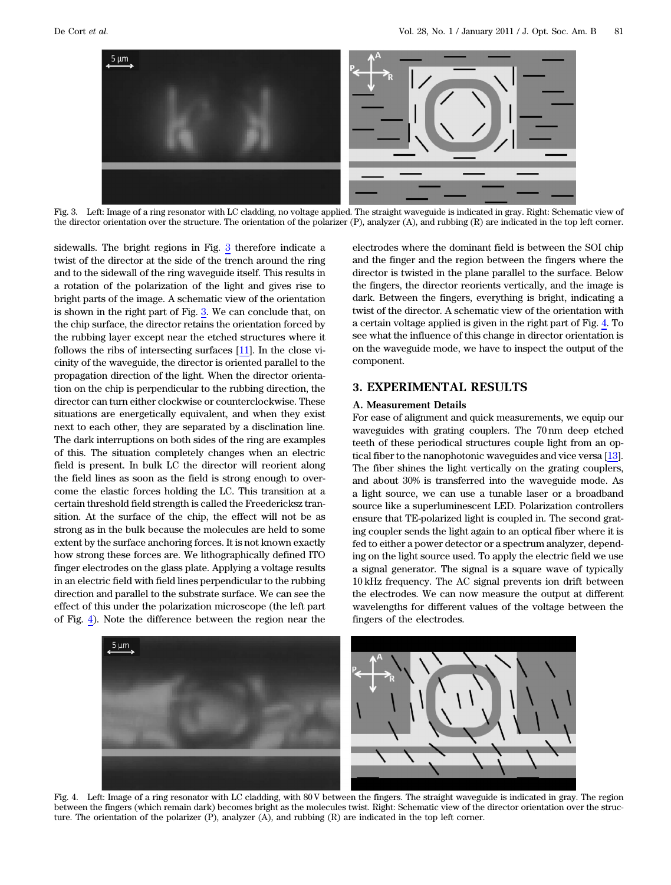<span id="page-2-0"></span>

Fig. 3. Left: Image of a ring resonator with LC cladding, no voltage applied. The straight waveguide is indicated in gray. Right: Schematic view of the director orientation over the structure. The orientation of the polarizer (P), analyzer (A), and rubbing (R) are indicated in the top left corner.

sidewalls. The bright regions in Fig. [3](#page-2-0) therefore indicate a twist of the director at the side of the trench around the ring and to the sidewall of the ring waveguide itself. This results in a rotation of the polarization of the light and gives rise to bright parts of the image. A schematic view of the orientation is shown in the right part of Fig. [3.](#page-2-0) We can conclude that, on the chip surface, the director retains the orientation forced by the rubbing layer except near the etched structures where it follows the ribs of intersecting surfaces [11]. In the close vicinity of the waveguide, the director is oriented parallel to the propagation direction of the light. When the director orientation on the chip is perpendicular to the rubbing direction, the director can turn either clockwise or counterclockwise. These situations are energetically equivalent, and when they exist next to each other, they are separated by a disclination line. The dark interruptions on both sides of the ring are examples of this. The situation completely changes when an electric field is present. In bulk LC the director will reorient along the field lines as soon as the field is strong enough to overcome the elastic forces holding the LC. This transition at a certain threshold field strength is called the Freedericksz transition. At the surface of the chip, the effect will not be as strong as in the bulk because the molecules are held to some extent by the surface anchoring forces. It is not known exactly how strong these forces are. We lithographically defined ITO finger electrodes on the glass plate. Applying a voltage results in an electric field with field lines perpendicular to the rubbing direction and parallel to the substrate surface. We can see the effect of this under the polarization microscope (the left part of Fig. [4](#page-2-1)). Note the difference between the region near the

electrodes where the dominant field is between the SOI chip and the finger and the region between the fingers where the director is twisted in the plane parallel to the surface. Below the fingers, the director reorients vertically, and the image is dark. Between the fingers, everything is bright, indicating a twist of the director. A schematic view of the orientation with a certain voltage applied is given in the right part of Fig. [4](#page-2-1). To see what the influence of this change in director orientation is on the waveguide mode, we have to inspect the output of the component.

# 3. EXPERIMENTAL RESULTS

#### A. Measurement Details

For ease of alignment and quick measurements, we equip our waveguides with grating couplers. The 70 nm deep etched teeth of these periodical structures couple light from an optical fiber to the nanophotonic waveguides and vice versa [13]. The fiber shines the light vertically on the grating couplers, and about 30% is transferred into the waveguide mode. As a light source, we can use a tunable laser or a broadband source like a superluminescent LED. Polarization controllers ensure that TE-polarized light is coupled in. The second grating coupler sends the light again to an optical fiber where it is fed to either a power detector or a spectrum analyzer, depending on the light source used. To apply the electric field we use a signal generator. The signal is a square wave of typically 10 kHz frequency. The AC signal prevents ion drift between the electrodes. We can now measure the output at different wavelengths for different values of the voltage between the fingers of the electrodes.

<span id="page-2-1"></span>

Fig. 4. Left: Image of a ring resonator with LC cladding, with 80 V between the fingers. The straight waveguide is indicated in gray. The region between the fingers (which remain dark) becomes bright as the molecules twist. Right: Schematic view of the director orientation over the structure. The orientation of the polarizer (P), analyzer (A), and rubbing (R) are indicated in the top left corner.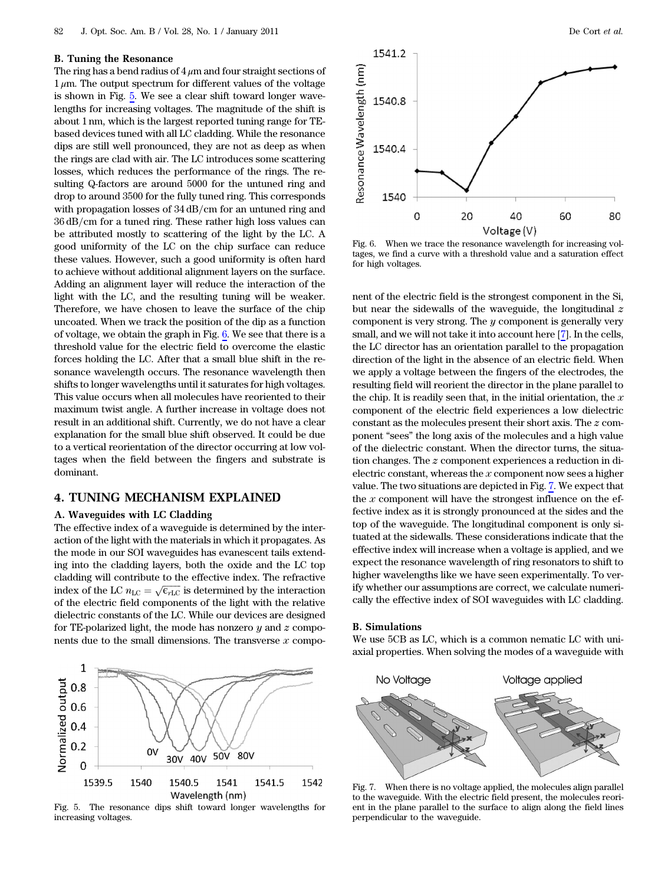#### B. Tuning the Resonance

The ring has a bend radius of  $4 \mu m$  and four straight sections of  $1 \mu$ m. The output spectrum for different values of the voltage is shown in Fig. [5](#page-3-0). We see a clear shift toward longer wavelengths for increasing voltages. The magnitude of the shift is about 1 nm, which is the largest reported tuning range for TEbased devices tuned with all LC cladding. While the resonance dips are still well pronounced, they are not as deep as when the rings are clad with air. The LC introduces some scattering losses, which reduces the performance of the rings. The resulting Q-factors are around 5000 for the untuned ring and drop to around 3500 for the fully tuned ring. This corresponds with propagation losses of  $34 \text{ dB/cm}$  for an untuned ring and  $36 \text{ dB/cm}$  for a tuned ring. These rather high loss values can be attributed mostly to scattering of the light by the LC. A good uniformity of the LC on the chip surface can reduce these values. However, such a good uniformity is often hard to achieve without additional alignment layers on the surface. Adding an alignment layer will reduce the interaction of the light with the LC, and the resulting tuning will be weaker. Therefore, we have chosen to leave the surface of the chip uncoated. When we track the position of the dip as a function of voltage, we obtain the graph in Fig. [6](#page-3-1). We see that there is a threshold value for the electric field to overcome the elastic forces holding the LC. After that a small blue shift in the resonance wavelength occurs. The resonance wavelength then shifts to longer wavelengths until it saturates for high voltages. This value occurs when all molecules have reoriented to their maximum twist angle. A further increase in voltage does not result in an additional shift. Currently, we do not have a clear explanation for the small blue shift observed. It could be due to a vertical reorientation of the director occurring at low voltages when the field between the fingers and substrate is dominant.

## 4. TUNING MECHANISM EXPLAINED

### A. Waveguides with LC Cladding

The effective index of a waveguide is determined by the interaction of the light with the materials in which it propagates. As the mode in our SOI waveguides has evanescent tails extending into the cladding layers, both the oxide and the LC top cladding will contribute to the effective index. The refractive cladding will contribute to the effective mate. The refractive<br>
index of the LC  $n_{\text{LC}} = \sqrt{\epsilon_{r\text{LC}}}$  is determined by the interaction<br>
of the electric field components of the light with the relative of the electric field components of the light with the relative dielectric constants of the LC. While our devices are designed for TE-polarized light, the mode has nonzero  $y$  and  $z$  components due to the small dimensions. The transverse  $x$  compo-

<span id="page-3-0"></span>

Fig. 5. The resonance dips shift toward longer wavelengths for increasing voltages.

<span id="page-3-1"></span>

Fig. 6. When we trace the resonance wavelength for increasing voltages, we find a curve with a threshold value and a saturation effect for high voltages.

nent of the electric field is the strongest component in the Si, but near the sidewalls of the waveguide, the longitudinal  $z$ component is very strong. The  $y$  component is generally very small, and we will not take it into account here [7]. In the cells, the LC director has an orientation parallel to the propagation direction of the light in the absence of an electric field. When we apply a voltage between the fingers of the electrodes, the resulting field will reorient the director in the plane parallel to the chip. It is readily seen that, in the initial orientation, the  $x$ component of the electric field experiences a low dielectric constant as the molecules present their short axis. The z component "sees" the long axis of the molecules and a high value of the dielectric constant. When the director turns, the situation changes. The z component experiences a reduction in dielectric constant, whereas the  $x$  component now sees a higher value. The two situations are depicted in Fig. [7](#page-3-2). We expect that the  $x$  component will have the strongest influence on the effective index as it is strongly pronounced at the sides and the top of the waveguide. The longitudinal component is only situated at the sidewalls. These considerations indicate that the effective index will increase when a voltage is applied, and we expect the resonance wavelength of ring resonators to shift to higher wavelengths like we have seen experimentally. To verify whether our assumptions are correct, we calculate numerically the effective index of SOI waveguides with LC cladding.

#### B. Simulations

We use 5CB as LC, which is a common nematic LC with uniaxial properties. When solving the modes of a waveguide with

<span id="page-3-2"></span>

Fig. 7. When there is no voltage applied, the molecules align parallel to the waveguide. With the electric field present, the molecules reorient in the plane parallel to the surface to align along the field lines perpendicular to the waveguide.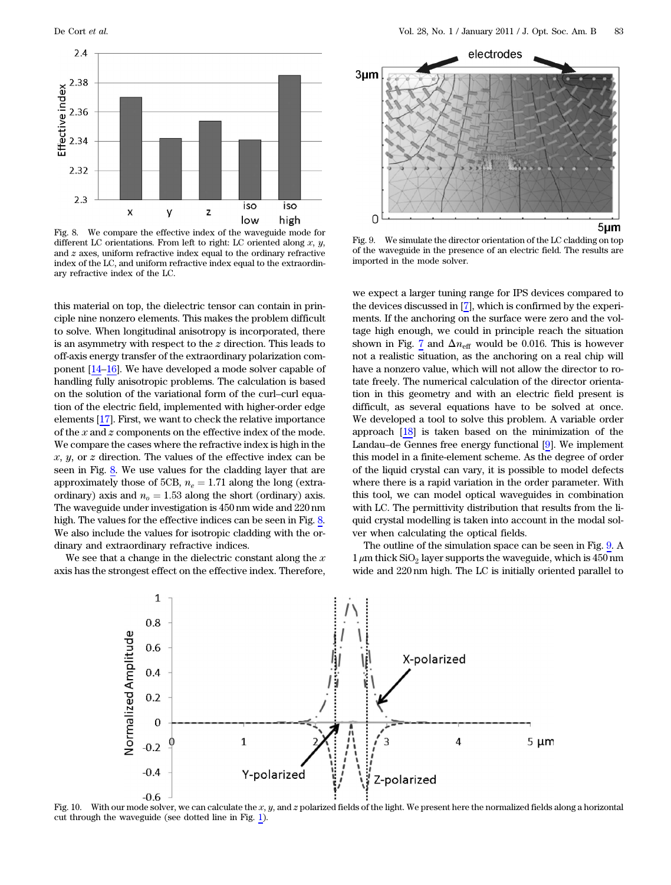<span id="page-4-0"></span>

Fig. 8. We compare the effective index of the waveguide mode for different LC orientations. From left to right: LC oriented along  $x$ ,  $y$ , and z axes, uniform refractive index equal to the ordinary refractive index of the LC, and uniform refractive index equal to the extraordinary refractive index of the LC.

this material on top, the dielectric tensor can contain in principle nine nonzero elements. This makes the problem difficult to solve. When longitudinal anisotropy is incorporated, there is an asymmetry with respect to the z direction. This leads to off-axis energy transfer of the extraordinary polarization component [14–16]. We have developed a mode solver capable of handling fully anisotropic problems. The calculation is based on the solution of the variational form of the curl–curl equation of the electric field, implemented with higher-order edge elements [17]. First, we want to check the relative importance of the  $x$  and  $z$  components on the effective index of the mode. We compare the cases where the refractive index is high in the  $x, y$ , or  $z$  direction. The values of the effective index can be seen in Fig. [8](#page-4-0). We use values for the cladding layer that are approximately those of 5CB,  $n_e = 1.71$  along the long (extraordinary) axis and  $n_0 = 1.53$  along the short (ordinary) axis. The waveguide under investigation is 450 nm wide and 220 nm high. The values for the effective indices can be seen in Fig. [8.](#page-4-0) We also include the values for isotropic cladding with the ordinary and extraordinary refractive indices.

<span id="page-4-2"></span>We see that a change in the dielectric constant along the  $x$ axis has the strongest effect on the effective index. Therefore,

<span id="page-4-1"></span>

Fig. 9. We simulate the director orientation of the LC cladding on top of the waveguide in the presence of an electric field. The results are imported in the mode solver.

we expect a larger tuning range for IPS devices compared to the devices discussed in [7], which is confirmed by the experiments. If the anchoring on the surface were zero and the voltage high enough, we could in principle reach the situation shown in Fig. [7](#page-3-2) and  $\Delta n_{\rm eff}$  would be 0.016. This is however not a realistic situation, as the anchoring on a real chip will have a nonzero value, which will not allow the director to rotate freely. The numerical calculation of the director orientation in this geometry and with an electric field present is difficult, as several equations have to be solved at once. We developed a tool to solve this problem. A variable order approach [18] is taken based on the minimization of the Landau–de Gennes free energy functional [9]. We implement this model in a finite-element scheme. As the degree of order of the liquid crystal can vary, it is possible to model defects where there is a rapid variation in the order parameter. With this tool, we can model optical waveguides in combination with LC. The permittivity distribution that results from the liquid crystal modelling is taken into account in the modal solver when calculating the optical fields.

The outline of the simulation space can be seen in Fig. [9](#page-4-1). A  $1 \mu$ m thick SiO<sub>2</sub> layer supports the waveguide, which is 450 nm wide and 220 nm high. The LC is initially oriented parallel to



Fig. 10. With our mode solver, we can calculate the  $x, y$ , and z polarized fields of the light. We present here the normalized fields along a horizontal cut through the waveguide (see dotted line in Fig. [1\)](#page-1-0).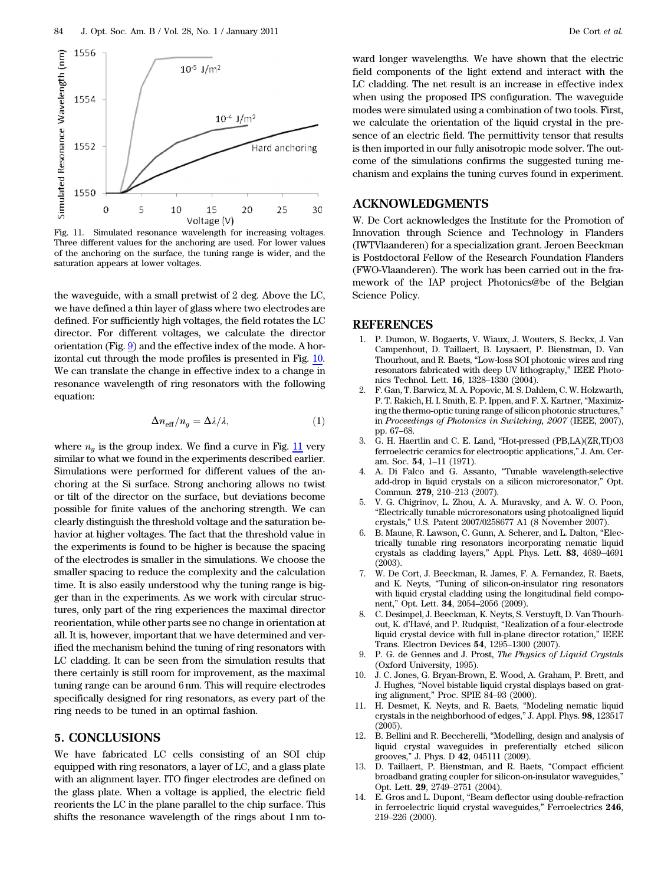<span id="page-5-0"></span>

Fig. 11. Simulated resonance wavelength for increasing voltages. Three different values for the anchoring are used. For lower values of the anchoring on the surface, the tuning range is wider, and the saturation appears at lower voltages.

the waveguide, with a small pretwist of 2 deg. Above the LC, we have defined a thin layer of glass where two electrodes are defined. For sufficiently high voltages, the field rotates the LC director. For different voltages, we calculate the director orientation (Fig. [9\)](#page-4-1) and the effective index of the mode. A horizontal cut through the mode profiles is presented in Fig. [10.](#page-4-2) We can translate the change in effective index to a change in resonance wavelength of ring resonators with the following equation:

$$
\Delta n_{\rm eff}/n_g = \Delta \lambda / \lambda, \tag{1}
$$

where  $n_q$  is the group index. We find a curve in Fig. [11](#page-5-0) very similar to what we found in the experiments described earlier. Simulations were performed for different values of the anchoring at the Si surface. Strong anchoring allows no twist or tilt of the director on the surface, but deviations become possible for finite values of the anchoring strength. We can clearly distinguish the threshold voltage and the saturation behavior at higher voltages. The fact that the threshold value in the experiments is found to be higher is because the spacing of the electrodes is smaller in the simulations. We choose the smaller spacing to reduce the complexity and the calculation time. It is also easily understood why the tuning range is bigger than in the experiments. As we work with circular structures, only part of the ring experiences the maximal director reorientation, while other parts see no change in orientation at all. It is, however, important that we have determined and verified the mechanism behind the tuning of ring resonators with LC cladding. It can be seen from the simulation results that there certainly is still room for improvement, as the maximal tuning range can be around 6 nm. This will require electrodes specifically designed for ring resonators, as every part of the ring needs to be tuned in an optimal fashion.

## 5. CONCLUSIONS

We have fabricated LC cells consisting of an SOI chip equipped with ring resonators, a layer of LC, and a glass plate with an alignment layer. ITO finger electrodes are defined on the glass plate. When a voltage is applied, the electric field reorients the LC in the plane parallel to the chip surface. This shifts the resonance wavelength of the rings about 1 nm to-

ward longer wavelengths. We have shown that the electric field components of the light extend and interact with the LC cladding. The net result is an increase in effective index when using the proposed IPS configuration. The waveguide modes were simulated using a combination of two tools. First, we calculate the orientation of the liquid crystal in the presence of an electric field. The permittivity tensor that results is then imported in our fully anisotropic mode solver. The outcome of the simulations confirms the suggested tuning mechanism and explains the tuning curves found in experiment.

## ACKNOWLEDGMENTS

W. De Cort acknowledges the Institute for the Promotion of Innovation through Science and Technology in Flanders (IWTVlaanderen) for a specialization grant. Jeroen Beeckman is Postdoctoral Fellow of the Research Foundation Flanders (FWO-Vlaanderen). The work has been carried out in the framework of the IAP project Photonics@be of the Belgian Science Policy.

#### REFERENCES

- 1. P. Dumon, W. Bogaerts, V. Wiaux, J. Wouters, S. Beckx, J. Van Campenhout, D. Taillaert, B. Luysaert, P. Bienstman, D. Van Thourhout, and R. Baets, "Low-loss SOI photonic wires and ring resonators fabricated with deep UV lithography," IEEE Photonics Technol. Lett. <sup>16</sup>, 1328–1330 (2004).
- 2. F. Gan, T. Barwicz, M. A. Popovic, M. S. Dahlem, C. W. Holzwarth, P. T. Rakich, H. I. Smith, E. P. Ippen, and F. X. Kartner,"Maximizing the thermo-optic tuning range of silicon photonic structures," in Proceedings of Photonics in Switching, 2007 (IEEE, 2007), pp. 67–68.
- 3. G. H. Haertlin and C. E. Land, "Hot-pressed (PB,LA)(ZR,TI)O3 ferroelectric ceramics for electrooptic applications," J. Am. Ceram. Soc. <sup>54</sup>, 1–11 (1971).
- 4. A. Di Falco and G. Assanto, "Tunable wavelength-selective add-drop in liquid crystals on a silicon microresonator," Opt. Commun. <sup>279</sup>, 210–213 (2007).
- 5. V. G. Chigrinov, L. Zhou, A. A. Muravsky, and A. W. O. Poon, "Electrically tunable microresonators using photoaligned liquid crystals," U.S. Patent 2007/0258677 A1 (8 November 2007).
- 6. B. Maune, R. Lawson, C. Gunn, A. Scherer, and L. Dalton, "Electrically tunable ring resonators incorporating nematic liquid crystals as cladding layers," Appl. Phys. Lett. <sup>83</sup>, 4689–<sup>4691</sup> (2003).
- 7. W. De Cort, J. Beeckman, R. James, F. A. Fernandez, R. Baets, and K. Neyts, "Tuning of silicon-on-insulator ring resonators with liquid crystal cladding using the longitudinal field component," Opt. Lett. <sup>34</sup>, 2054–2056 (2009).
- 8. C. Desimpel, J. Beeckman, K. Neyts, S. Verstuyft, D. Van Thourhout, K. d'Havé, and P. Rudquist, "Realization of a four-electrode liquid crystal device with full in-plane director rotation," IEEE Trans. Electron Devices <sup>54</sup>, 1295–1300 (2007).
- 9. P. G. de Gennes and J. Prost, The Physics of Liquid Crystals (Oxford University, 1995).
- 10. J. C. Jones, G. Bryan-Brown, E. Wood, A. Graham, P. Brett, and J. Hughes, "Novel bistable liquid crystal displays based on grating alignment," Proc. SPIE 84–93 (2000).
- 11. H. Desmet, K. Neyts, and R. Baets, "Modeling nematic liquid crystals in the neighborhood of edges," J. Appl. Phys. <sup>98</sup>, 123517 (2005).
- 12. B. Bellini and R. Beccherelli, "Modelling, design and analysis of liquid crystal waveguides in preferentially etched silicon grooves," J. Phys. D <sup>42</sup>, 045111 (2009).
- 13. D. Taillaert, P. Bienstman, and R. Baets, "Compact efficient broadband grating coupler for silicon-on-insulator waveguides," Opt. Lett. <sup>29</sup>, 2749–2751 (2004).
- 14. E. Gros and L. Dupont, "Beam deflector using double-refraction in ferroelectric liquid crystal waveguides," Ferroelectrics <sup>246</sup>, <sup>219</sup>–226 (2000).